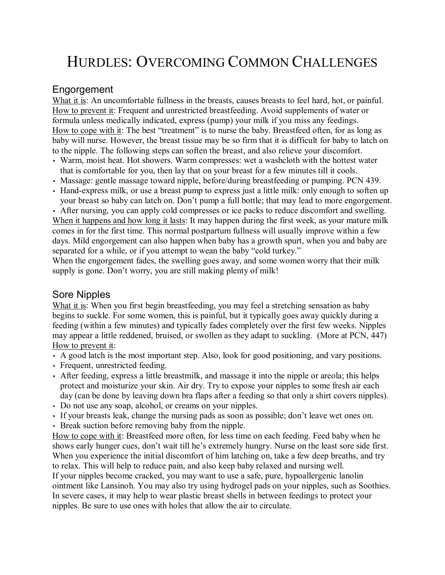# HURDLES: OVERCOMING COMMON CHALLENGES

# Engorgement

What it is: An uncomfortable fullness in the breasts, causes breasts to feel hard, hot, or painful. How to prevent it: Frequent and unrestricted breastfeeding. Avoid supplements of water or formula unless medically indicated, express (pump) your milk if you miss any feedings. How to cope with it: The best "treatment" is to nurse the baby. Breastfeed often, for as long as baby will nurse. However, the breast tissue may be so firm that it is difficult for baby to latch on to the nipple. The following steps can soften the breast, and also relieve your discomfort.

- Warm, moist heat. Hot showers. Warm compresses: wet a washcloth with the hottest water that is comfortable for you, then lay that on your breast for a few minutes till it cools.
- Massage: gentle massage toward nipple, before/during breastfeeding or pumping. PCN 439.
- Hand-express milk, or use a breast pump to express just a little milk: only enough to soften up your breast so baby can latch on. Don't pump a full bottle; that may lead to more engorgement.

• After nursing, you can apply cold compresses or ice packs to reduce discomfort and swelling. When it happens and how long it lasts: It may happen during the first week, as your mature milk comes in for the first time. This normal postpartum fullness will usually improve within a few days. Mild engorgement can also happen when baby has a growth spurt, when you and baby are separated for a while, or if you attempt to wean the baby "cold turkey."

When the engorgement fades, the swelling goes away, and some women worry that their milk supply is gone. Don't worry, you are still making plenty of milk!

# Sore Nipples

What it is: When you first begin breastfeeding, you may feel a stretching sensation as baby begins to suckle. For some women, this is painful, but it typically goes away quickly during a feeding (within a few minutes) and typically fades completely over the first few weeks. Nipples may appear a little reddened, bruised, or swollen as they adapt to suckling. (More at PCN, 447) How to prevent it:

- A good latch is the most important step. Also, look for good positioning, and vary positions.
- Frequent, unrestricted feeding.
- After feeding, express a little breastmilk, and massage it into the nipple or areola; this helps protect and moisturize your skin. Air dry. Try to expose your nipples to some fresh air each day (can be done by leaving down bra flaps after a feeding so that only a shirt covers nipples).
- Do not use any soap, alcohol, or creams on your nipples.
- If your breasts leak, change the nursing pads as soon as possible; don't leave wet ones on.
- Break suction before removing baby from the nipple.

How to cope with it: Breastfeed more often, for less time on each feeding. Feed baby when he shows early hunger cues, don't wait till he's extremely hungry. Nurse on the least sore side first. When you experience the initial discomfort of him latching on, take a few deep breaths, and try to relax. This will help to reduce pain, and also keep baby relaxed and nursing well. If your nipples become cracked, you may want to use a safe, pure, hypoallergenic lanolin ointment like Lansinoh. You may also try using hydrogel pads on your nipples, such as Soothies. In severe cases, it may help to wear plastic breast shells in between feedings to protect your nipples. Be sure to use ones with holes that allow the air to circulate.